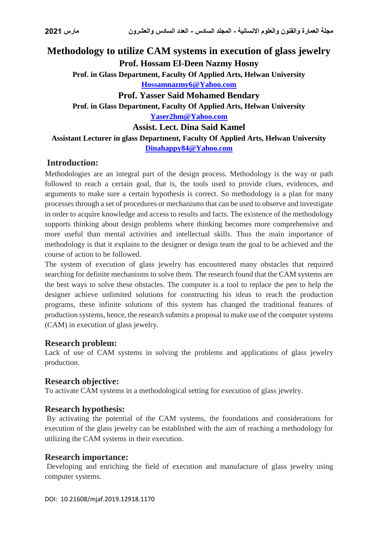# **Methodology to utilize CAM systems in execution of glass jewelry Prof. Hossam El-Deen Nazmy Hosny Prof. in Glass Department, Faculty Of Applied Arts, Helwan University [Hossamnazmy6@Yahoo.com](mailto:Hossamnazmy6@Yahoo.com) Prof. Yasser Said Mohamed Bendary Prof. in Glass Department, Faculty Of Applied Arts, Helwan University [Yaser2hm@Yahoo.com](mailto:Yaser2hm@Yahoo.com) Assist. Lect. Dina Said Kamel Assistant Lecturer in glass Department, Faculty Of Applied Arts, Helwan University [Dinahappy84@Yahoo.com](mailto:Dinahappy84@Yahoo.com)**

# **Introduction:**

Methodologies are an integral part of the design process. Methodology is the way or path followed to reach a certain goal, that is, the tools used to provide clues, evidences, and arguments to make sure a certain hypothesis is correct. So methodology is a plan for many processes through a set of procedures or mechanisms that can be used to observe and investigate in order to acquire knowledge and access to results and facts. The existence of the methodology supports thinking about design problems where thinking becomes more comprehensive and more useful than mental activities and intellectual skills. Thus the main importance of methodology is that it explains to the designer or design team the goal to be achieved and the course of action to be followed.

The system of execution of glass jewelry has encountered many obstacles that required searching for definite mechanisms to solve them. The research found that the CAM systems are the best ways to solve these obstacles. The computer is a tool to replace the pen to help the designer achieve unlimited solutions for constructing his ideas to reach the production programs, these infinite solutions of this system has changed the traditional features of production systems, hence, the research submits a proposal to make use of the computer systems (CAM) in execution of glass jewelry.

# **Research problem:**

Lack of use of CAM systems in solving the problems and applications of glass jewelry production.

# **Research objective:**

To activate CAM systems in a methodological setting for execution of glass jewelry.

#### **Research hypothesis:**

By activating the potential of the CAM systems, the foundations and considerations for execution of the glass jewelry can be established with the aim of reaching a methodology for utilizing the CAM systems in their execution.

#### **Research importance:**

Developing and enriching the field of execution and manufacture of glass jewelry using computer systems.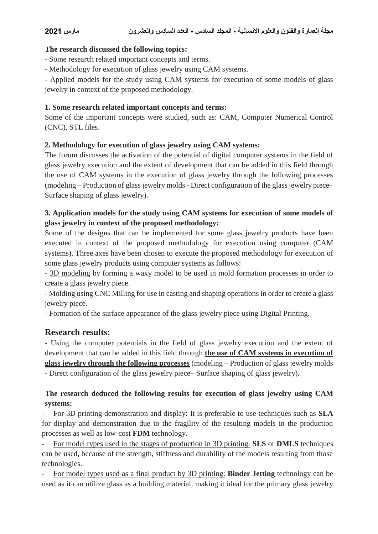### **The research discussed the following topics:**

- Some research related important concepts and terms.

- Methodology for execution of glass jewelry using CAM systems.

- Applied models for the study using CAM systems for execution of some models of glass jewelry in context of the proposed methodology.

### **1. Some research related important concepts and terms:**

Some of the important concepts were studied, such as: CAM, Computer Numerical Control (CNC), STL files.

### **2. Methodology for execution of glass jewelry using CAM systems:**

The forum discusses the activation of the potential of digital computer systems in the field of glass jewelry execution and the extent of development that can be added in this field through the use of CAM systems in the execution of glass jewelry through the following processes (modeling – Production of glass jewelry molds - Direct configuration of the glass jewelry piece– Surface shaping of glass jewelry).

# **3. Application models for the study using CAM systems for execution of some models of glass jewelry in context of the proposed methodology:**

Some of the designs that can be implemented for some glass jewelry products have been executed in context of the proposed methodology for execution using computer (CAM systems). Three axes have been chosen to execute the proposed methodology for execution of some glass jewelry products using computer systems as follows:

- 3D modeling by forming a waxy model to be used in mold formation processes in order to create a glass jewelry piece.

- Molding using CNC Milling for use in casting and shaping operations in order to create a glass jewelry piece.

- Formation of the surface appearance of the glass jewelry piece using Digital Printing.

# **Research results:**

- Using the computer potentials in the field of glass jewelry execution and the extent of development that can be added in this field through **the use of CAM systems in execution of glass jewelry through the following processes** (modeling – Production of glass jewelry molds - Direct configuration of the glass jewelry piece– Surface shaping of glass jewelry).

# **The research deduced the following results for execution of glass jewelry using CAM systems:**

- For 3D printing demonstration and display: It is preferable to use techniques such as **SLA** for display and demonstration due to the fragility of the resulting models in the production processes as well as low-cost **FDM** technology.

- For model types used in the stages of production in 3D printing: **SLS** or **DMLS** techniques can be used, because of the strength, stiffness and durability of the models resulting from those technologies.

- For model types used as a final product by 3D printing: **Binder Jetting** technology can be used as it can utilize glass as a building material, making it ideal for the primary glass jewelry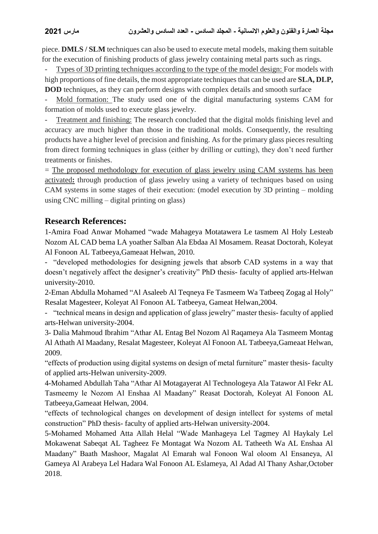piece. **DMLS / SLM** techniques can also be used to execute metal models, making them suitable for the execution of finishing products of glass jewelry containing metal parts such as rings.

Types of 3D printing techniques according to the type of the model design: For models with high proportions of fine details, the most appropriate techniques that can be used are **SLA, DLP, DOD** techniques, as they can perform designs with complex details and smooth surface

Mold formation: The study used one of the digital manufacturing systems CAM for formation of molds used to execute glass jewelry.

Treatment and finishing: The research concluded that the digital molds finishing level and accuracy are much higher than those in the traditional molds. Consequently, the resulting products have a higher level of precision and finishing. As for the primary glass pieces resulting from direct forming techniques in glass (either by drilling or cutting), they don't need further treatments or finishes.

 $=$  The proposed methodology for execution of glass jewelry using CAM systems has been activated**:** through production of glass jewelry using a variety of techniques based on using CAM systems in some stages of their execution: (model execution by 3D printing – molding using CNC milling – digital printing on glass)

# **Research References:**

1-Amira Foad Anwar Mohamed "wade Mahageya Motatawera Le tasmem Al Holy Lesteab Nozom AL CAD bema LA yoather Salban Ala Ebdaa Al Mosamem. Reasat Doctorah, Koleyat Al Fonoon AL Tatbeeya,Gameaat Helwan, 2010.

- "developed methodologies for designing jewels that absorb CAD systems in a way that doesn't negatively affect the designer's creativity" PhD thesis- faculty of applied arts-Helwan university-2010.

2-Eman Abdulla Mohamed "Al Asaleeb Al Teqneya Fe Tasmeem Wa Tatbeeq Zogag al Holy" Resalat Magesteer, Koleyat Al Fonoon AL Tatbeeya, Gameat Helwan,2004.

- "technical means in design and application of glass jewelry" master thesis- faculty of applied arts-Helwan university-2004.

3- Dalia Mahmoud Ibrahim "Athar AL Entag Bel Nozom Al Raqameya Ala Tasmeem Montag Al Athath Al Maadany, Resalat Magesteer, Koleyat Al Fonoon AL Tatbeeya,Gameaat Helwan, 2009.

"effects of production using digital systems on design of metal furniture" master thesis- faculty of applied arts-Helwan university-2009.

4-Mohamed Abdullah Taha "Athar Al Motagayerat Al Technologeya Ala Tatawor Al Fekr AL Tasmeemy le Nozom Al Enshaa Al Maadany" Reasat Doctorah, Koleyat Al Fonoon AL Tatbeeya,Gameaat Helwan, 2004.

"effects of technological changes on development of design intellect for systems of metal construction" PhD thesis- faculty of applied arts-Helwan university-2004.

5-Mohamed Mohamed Atta Allah Helal "Wade Manhageya Lel Tagmey Al Haykaly Lel Mokawenat Sabeqat AL Tagheez Fe Montagat Wa Nozom AL Tatheeth Wa AL Enshaa Al Maadany" Baath Mashoor, Magalat Al Emarah wal Fonoon Wal oloom Al Ensaneya, Al Gameya Al Arabeya Lel Hadara Wal Fonoon AL Eslameya, Al Adad Al Thany Ashar,October 2018.